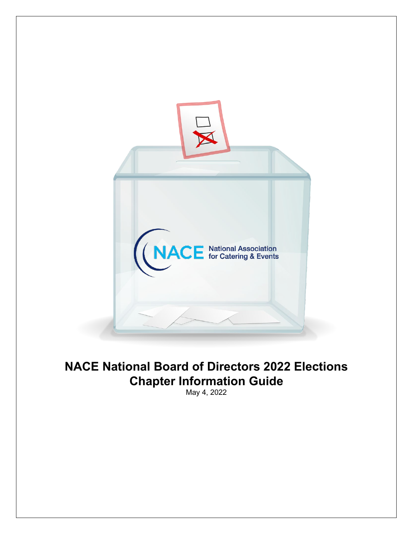

# **NACE National Board of Directors 2022 Elections Chapter Information Guide**

May 4, 2022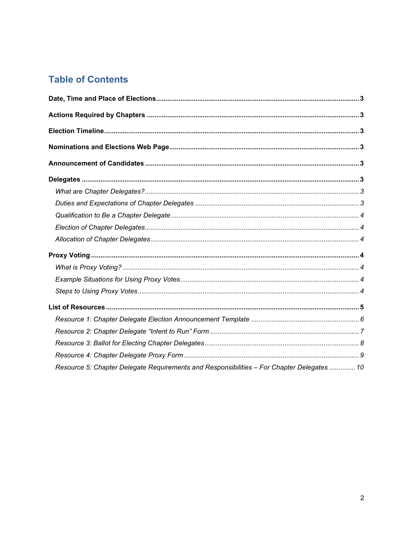## **Table of Contents**

| Resource 5: Chapter Delegate Requirements and Responsibilities - For Chapter Delegates  10 |
|--------------------------------------------------------------------------------------------|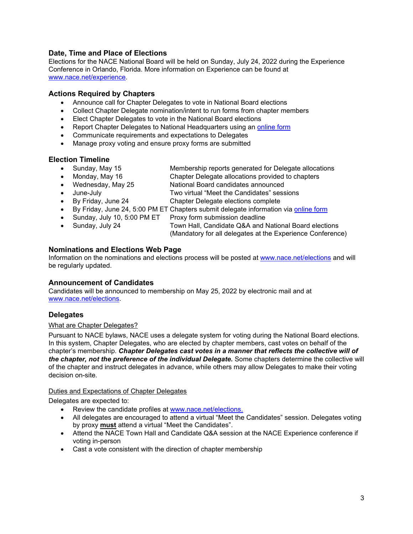### <span id="page-2-0"></span>**Date, Time and Place of Elections**

Elections for the NACE National Board will be held on Sunday, July 24, 2022 during the Experience Conference in Orlando, Florida. More information on Experience can be found at [www.nace.net/experience.](http://www.nace.net/experience)

#### <span id="page-2-1"></span>**Actions Required by Chapters**

- Announce call for Chapter Delegates to vote in National Board elections
- Collect Chapter Delegate nomination/intent to run forms from chapter members
- Elect Chapter Delegates to vote in the National Board elections
- Report Chapter Delegates to National Headquarters using an [online form](https://form.jotform.com/221235719774158)
- Communicate requirements and expectations to Delegates
- Manage proxy voting and ensure proxy forms are submitted

#### <span id="page-2-2"></span>**Election Timeline**

- Sunday, May 15 Membership reports generated for Delegate allocations
	- Monday, May 16 Chapter Delegate allocations provided to chapters
- Wednesday, May 25 National Board candidates announced
- June-July Two virtual "Meet the Candidates" sessions
- By Friday, June 24 Chapter Delegate elections complete
- By Friday, June 24, 5:00 PM ET Chapters submit delegate information via [online form](https://form.jotform.com/221235719774158)
- Sunday, July 10, 5:00 PM ET Proxy form submission deadline
- Sunday, July 24 Town Hall, Candidate Q&A and National Board elections (Mandatory for all delegates at the Experience Conference)

### <span id="page-2-3"></span>**Nominations and Elections Web Page**

Information on the nominations and elections process will be posted at [www.nace.net/elections](http://www.nace.net/elections) and will be regularly updated.

#### <span id="page-2-4"></span>**Announcement of Candidates**

Candidates will be announced to membership on May 25, 2022 by electronic mail and at [www.nace.net/elections.](http://www.nace.net/elections)

### <span id="page-2-5"></span>**Delegates**

#### <span id="page-2-6"></span>What are Chapter Delegates?

Pursuant to NACE bylaws, NACE uses a delegate system for voting during the National Board elections. In this system, Chapter Delegates, who are elected by chapter members, cast votes on behalf of the chapter's membership. *Chapter Delegates cast votes in a manner that reflects the collective will of the chapter, not the preference of the individual Delegate.* Some chapters determine the collective will of the chapter and instruct delegates in advance, while others may allow Delegates to make their voting decision on-site.

#### <span id="page-2-7"></span>Duties and Expectations of Chapter Delegates

Delegates are expected to:

- Review the candidate profiles at [www.nace.net/elections.](http://www.nace.net/elections)
- All delegates are encouraged to attend a virtual "Meet the Candidates" session. Delegates voting by proxy **must** attend a virtual "Meet the Candidates".
- Attend the NACE Town Hall and Candidate Q&A session at the NACE Experience conference if voting in-person
- Cast a vote consistent with the direction of chapter membership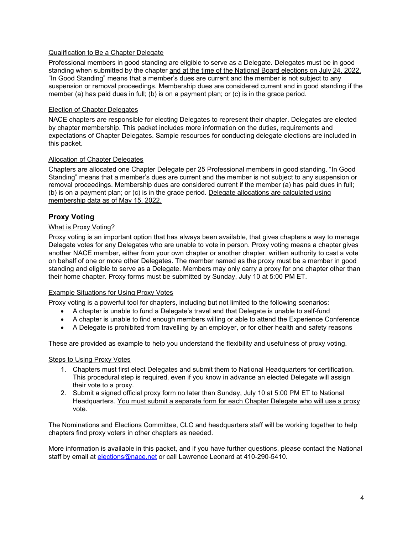#### <span id="page-3-0"></span>Qualification to Be a Chapter Delegate

Professional members in good standing are eligible to serve as a Delegate. Delegates must be in good standing when submitted by the chapter and at the time of the National Board elections on July 24, 2022. "In Good Standing" means that a member's dues are current and the member is not subject to any suspension or removal proceedings. Membership dues are considered current and in good standing if the member (a) has paid dues in full; (b) is on a payment plan; or (c) is in the grace period.

#### <span id="page-3-1"></span>Election of Chapter Delegates

NACE chapters are responsible for electing Delegates to represent their chapter. Delegates are elected by chapter membership. This packet includes more information on the duties, requirements and expectations of Chapter Delegates. Sample resources for conducting delegate elections are included in this packet.

#### <span id="page-3-2"></span>Allocation of Chapter Delegates

Chapters are allocated one Chapter Delegate per 25 Professional members in good standing. "In Good Standing" means that a member's dues are current and the member is not subject to any suspension or removal proceedings. Membership dues are considered current if the member (a) has paid dues in full; (b) is on a payment plan; or (c) is in the grace period. Delegate allocations are calculated using membership data as of May 15, 2022.

#### <span id="page-3-3"></span>**Proxy Voting**

#### <span id="page-3-4"></span>What is Proxy Voting?

Proxy voting is an important option that has always been available, that gives chapters a way to manage Delegate votes for any Delegates who are unable to vote in person. Proxy voting means a chapter gives another NACE member, either from your own chapter or another chapter, written authority to cast a vote on behalf of one or more other Delegates. The member named as the proxy must be a member in good standing and eligible to serve as a Delegate. Members may only carry a proxy for one chapter other than their home chapter. Proxy forms must be submitted by Sunday, July 10 at 5:00 PM ET.

#### <span id="page-3-5"></span>Example Situations for Using Proxy Votes

Proxy voting is a powerful tool for chapters, including but not limited to the following scenarios:

- A chapter is unable to fund a Delegate's travel and that Delegate is unable to self-fund
- A chapter is unable to find enough members willing or able to attend the Experience Conference
- A Delegate is prohibited from travelling by an employer, or for other health and safety reasons

<span id="page-3-6"></span>These are provided as example to help you understand the flexibility and usefulness of proxy voting.

#### Steps to Using Proxy Votes

- 1. Chapters must first elect Delegates and submit them to National Headquarters for certification. This procedural step is required, even if you know in advance an elected Delegate will assign their vote to a proxy.
- 2. Submit a signed official proxy form no later than Sunday, July 10 at 5:00 PM ET to National Headquarters. You must submit a separate form for each Chapter Delegate who will use a proxy vote.

The Nominations and Elections Committee, CLC and headquarters staff will be working together to help chapters find proxy voters in other chapters as needed.

More information is available in this packet, and if you have further questions, please contact the National staff by email at [elections@nace.net](mailto:elections@nace.net) or call Lawrence Leonard at 410-290-5410.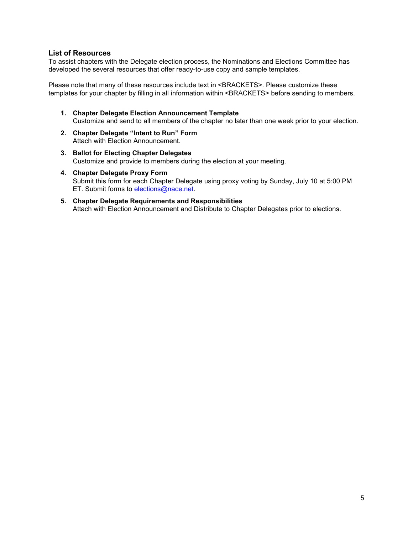#### <span id="page-4-0"></span>**List of Resources**

To assist chapters with the Delegate election process, the Nominations and Elections Committee has developed the several resources that offer ready-to-use copy and sample templates.

Please note that many of these resources include text in <BRACKETS>. Please customize these templates for your chapter by filling in all information within <BRACKETS> before sending to members.

- **1. Chapter Delegate Election Announcement Template**  Customize and send to all members of the chapter no later than one week prior to your election.
- **2. Chapter Delegate "Intent to Run" Form** Attach with Election Announcement.
- **3. Ballot for Electing Chapter Delegates** Customize and provide to members during the election at your meeting.
- **4. Chapter Delegate Proxy Form** Submit this form for each Chapter Delegate using proxy voting by Sunday, July 10 at 5:00 PM ET. Submit forms to [elections@nace.net.](mailto:elections@nace.net)
- **5. Chapter Delegate Requirements and Responsibilities** Attach with Election Announcement and Distribute to Chapter Delegates prior to elections.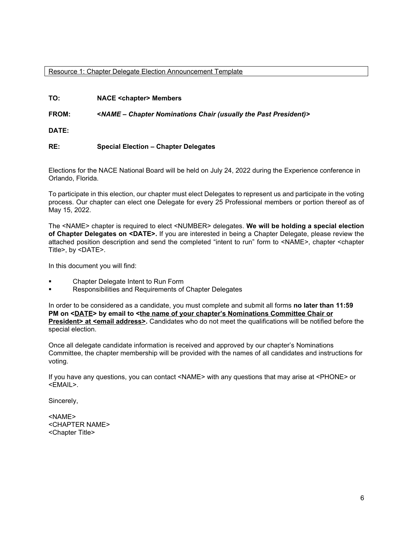#### <span id="page-5-0"></span>Resource 1: Chapter Delegate Election Announcement Template

**TO: NACE <chapter> Members** 

**FROM: <***NAME – Chapter Nominations Chair (usually the Past President)>*

**DATE:** 

#### **RE: Special Election – Chapter Delegates**

Elections for the NACE National Board will be held on July 24, 2022 during the Experience conference in Orlando, Florida.

To participate in this election, our chapter must elect Delegates to represent us and participate in the voting process. Our chapter can elect one Delegate for every 25 Professional members or portion thereof as of May 15, 2022.

The <NAME> chapter is required to elect <NUMBER> delegates. **We will be holding a special election of Chapter Delegates on <DATE>.** If you are interested in being a Chapter Delegate, please review the attached position description and send the completed "intent to run" form to <NAME>, chapter <chapter Title>, by <DATE>.

In this document you will find:

- Chapter Delegate Intent to Run Form
- Responsibilities and Requirements of Chapter Delegates

In order to be considered as a candidate, you must complete and submit all forms **no later than 11:59**  PM on <DATE> by email to <the name of your chapter's Nominations Committee Chair or **President> at <email address>.** Candidates who do not meet the qualifications will be notified before the special election.

Once all delegate candidate information is received and approved by our chapter's Nominations Committee, the chapter membership will be provided with the names of all candidates and instructions for voting.

If you have any questions, you can contact <NAME> with any questions that may arise at <PHONE> or <EMAIL>.

Sincerely,

<NAME> <CHAPTER NAME> <Chapter Title>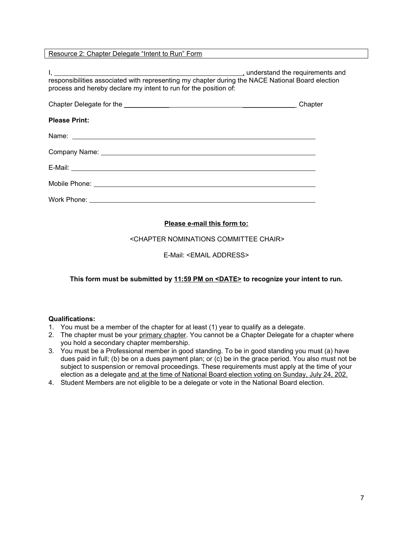<span id="page-6-0"></span>Resource 2: Chapter Delegate "Intent to Run" Form

| process and hereby declare my intent to run for the position of: |          |
|------------------------------------------------------------------|----------|
|                                                                  | _Chapter |
| <b>Please Print:</b>                                             |          |
|                                                                  |          |
|                                                                  |          |
|                                                                  |          |
|                                                                  |          |
|                                                                  |          |
| Please e-mail this form to:                                      |          |

<CHAPTER NOMINATIONS COMMITTEE CHAIR>

E-Mail: <EMAIL ADDRESS>

**This form must be submitted by 11:59 PM on <DATE> to recognize your intent to run.**

#### **Qualifications:**

- 1. You must be a member of the chapter for at least (1) year to qualify as a delegate.
- 2. The chapter must be your primary chapter. You cannot be a Chapter Delegate for a chapter where you hold a secondary chapter membership.
- 3. You must be a Professional member in good standing. To be in good standing you must (a) have dues paid in full; (b) be on a dues payment plan; or (c) be in the grace period. You also must not be subject to suspension or removal proceedings. These requirements must apply at the time of your election as a delegate and at the time of National Board election voting on Sunday, July 24, 202.
- 4. Student Members are not eligible to be a delegate or vote in the National Board election.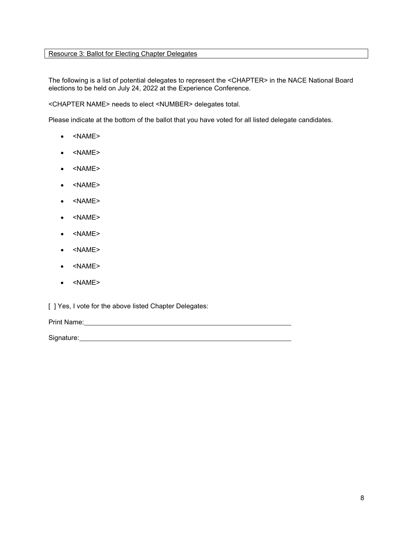#### <span id="page-7-0"></span>Resource 3: Ballot for Electing Chapter Delegates

The following is a list of potential delegates to represent the <CHAPTER> in the NACE National Board elections to be held on July 24, 2022 at the Experience Conference.

<CHAPTER NAME> needs to elect <NUMBER> delegates total.

Please indicate at the bottom of the ballot that you have voted for all listed delegate candidates.

- <NAME>
- <NAME>
- <NAME>
- <NAME>
- <NAME>
- <NAME>
- <NAME>
- <NAME>
- <NAME>
- <NAME>

[ ] Yes, I vote for the above listed Chapter Delegates:

Print Name: Williams and Williams and Williams and Williams and Williams and Williams and Williams and Williams

Signature: <u>contract and contract and contract and contract and contract and contract and contract and contract and contract and contract and contract and contract and contract and contract and contract and contract and co</u>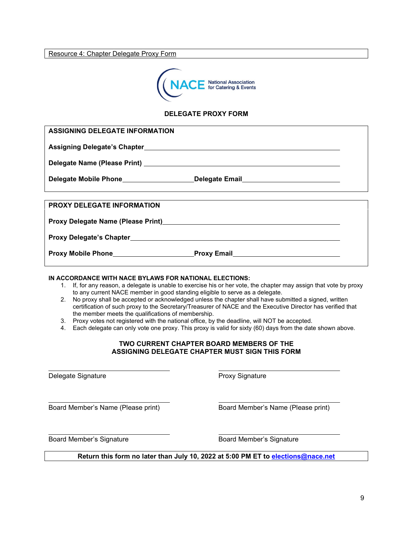<span id="page-8-0"></span>Resource 4: Chapter Delegate Proxy Form



#### **DELEGATE PROXY FORM**

| <b>ASSIGNING DELEGATE INFORMATION</b>                                                                                                                                                                                          |  |
|--------------------------------------------------------------------------------------------------------------------------------------------------------------------------------------------------------------------------------|--|
|                                                                                                                                                                                                                                |  |
|                                                                                                                                                                                                                                |  |
| Delegate Mobile Phone______________________Delegate Email_______________________                                                                                                                                               |  |
|                                                                                                                                                                                                                                |  |
| <b>PROXY DELEGATE INFORMATION</b>                                                                                                                                                                                              |  |
| Proxy Delegate Name (Please Print) New York Contract on the Contract of the Contract of the Contract of the Contract of the Contract of the Contract of the Contract of the Contract of the Contract of the Contract of the Co |  |
|                                                                                                                                                                                                                                |  |
|                                                                                                                                                                                                                                |  |

#### **IN ACCORDANCE WITH NACE BYLAWS FOR NATIONAL ELECTIONS:**

- 1. If, for any reason, a delegate is unable to exercise his or her vote, the chapter may assign that vote by proxy to any current NACE member in good standing eligible to serve as a delegate.
- 2. No proxy shall be accepted or acknowledged unless the chapter shall have submitted a signed, written certification of such proxy to the Secretary/Treasurer of NACE and the Executive Director has verified that the member meets the qualifications of membership.
- 3. Proxy votes not registered with the national office, by the deadline, will NOT be accepted.
- 4. Each delegate can only vote one proxy. This proxy is valid for sixty (60) days from the date shown above.

#### **TWO CURRENT CHAPTER BOARD MEMBERS OF THE ASSIGNING DELEGATE CHAPTER MUST SIGN THIS FORM**

 Delegate Signature **Delegate Signature** Proxy Signature

 $\overline{a}$ 

Board Member's Name (Please print) Board Member's Name (Please print)

 $\overline{a}$ 

Board Member's Signature **Board Member's Signature** 

**Return this form no later than July 10, 2022 at 5:00 PM ET to [elections@nace.net](mailto:elections@nace.net)**